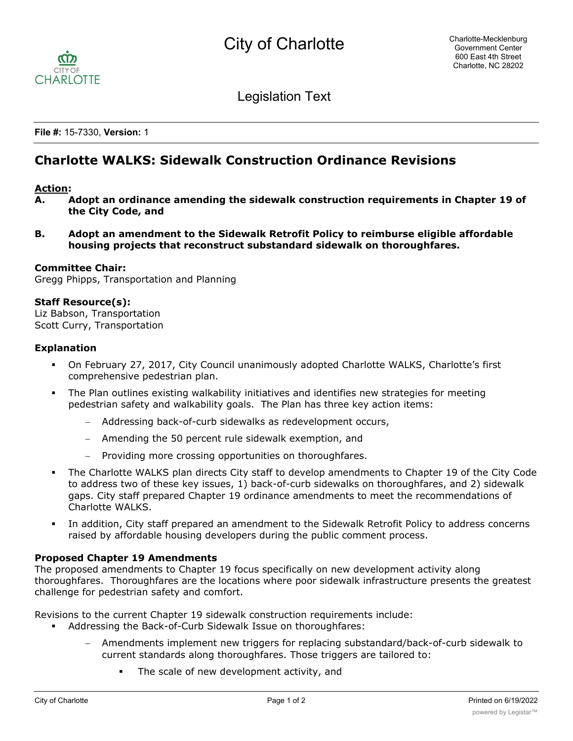

Legislation Text

**File #:** 15-7330, **Version:** 1

# **Charlotte WALKS: Sidewalk Construction Ordinance Revisions**

#### **Action:**

- **A. Adopt an ordinance amending the sidewalk construction requirements in Chapter 19 of the City Code, and**
- **B. Adopt an amendment to the Sidewalk Retrofit Policy to reimburse eligible affordable housing projects that reconstruct substandard sidewalk on thoroughfares.**

## **Committee Chair:**

Gregg Phipps, Transportation and Planning

#### **Staff Resource(s):**

Liz Babson, Transportation Scott Curry, Transportation

#### **Explanation**

- § On February 27, 2017, City Council unanimously adopted Charlotte WALKS, Charlotte's first comprehensive pedestrian plan.
- The Plan outlines existing walkability initiatives and identifies new strategies for meeting pedestrian safety and walkability goals. The Plan has three key action items:
	- Addressing back-of-curb sidewalks as redevelopment occurs,
	- Amending the 50 percent rule sidewalk exemption, and
	- Providing more crossing opportunities on thoroughfares.
- The Charlotte WALKS plan directs City staff to develop amendments to Chapter 19 of the City Code to address two of these key issues, 1) back-of-curb sidewalks on thoroughfares, and 2) sidewalk gaps. City staff prepared Chapter 19 ordinance amendments to meet the recommendations of Charlotte WALKS.
- In addition, City staff prepared an amendment to the Sidewalk Retrofit Policy to address concerns raised by affordable housing developers during the public comment process.

## **Proposed Chapter 19 Amendments**

The proposed amendments to Chapter 19 focus specifically on new development activity along thoroughfares. Thoroughfares are the locations where poor sidewalk infrastructure presents the greatest challenge for pedestrian safety and comfort.

Revisions to the current Chapter 19 sidewalk construction requirements include:

- Addressing the Back-of-Curb Sidewalk Issue on thoroughfares:
	- Amendments implement new triggers for replacing substandard/back-of-curb sidewalk to current standards along thoroughfares. Those triggers are tailored to:
		- The scale of new development activity, and